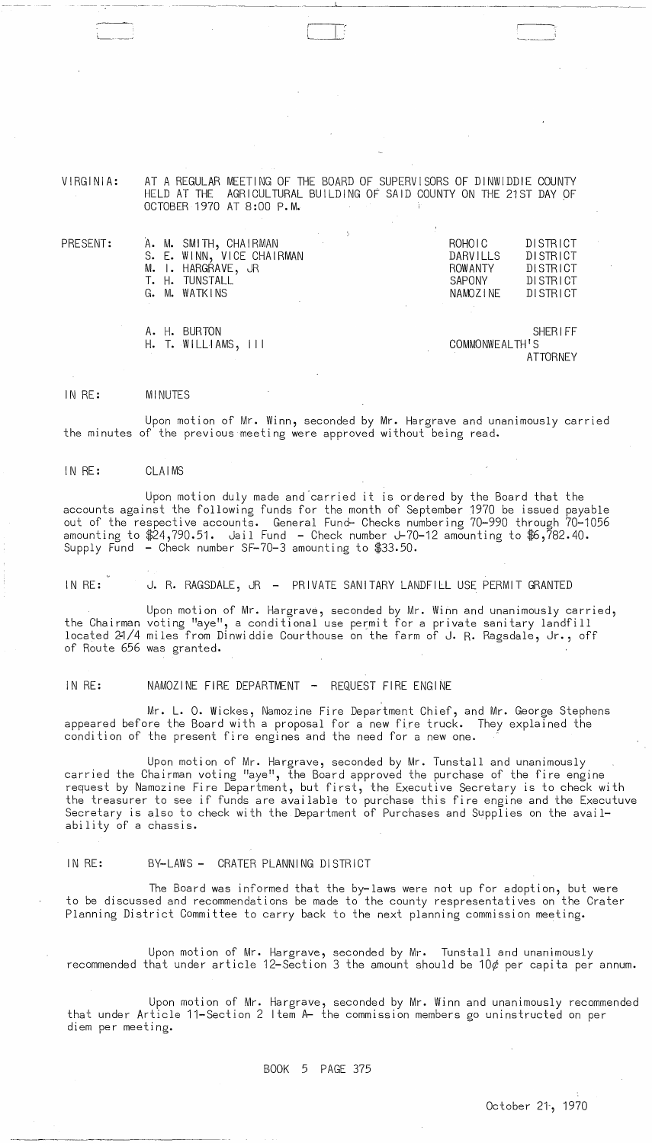VIRGINIA:

AT A REGULAR MEETING OF THE BOARD OF SUPERVISORS OF DINWIDDIE COUNTY HELD AT THE AGRICULTURAL BUILDING OF SAID COUNTY ON THE 21ST DAY OF OCTOBER 1970 AT 8:00 P.M.

| $\mathsf{PRESENT:}$ | A. M. SMITH, CHAIRMAN<br><b>Contract</b><br>S. E. WINN, VICE CHAIRMAN<br>M. I. HARGRAVE, JR<br>T. H. TUNSTALL<br>G. M. WATKINS | ROHOIC<br><b>DARVILLS</b><br><b>ROWANTY</b><br><b>SAPONY</b><br>NAMOZINE | DISTRICT<br>DISTRICT<br>DISTRICT<br>DISTRICT<br>DISTRICT |
|---------------------|--------------------------------------------------------------------------------------------------------------------------------|--------------------------------------------------------------------------|----------------------------------------------------------|
|                     | A. H. BURTON                                                                                                                   |                                                                          | <b>SHERIFF</b>                                           |

H. T. WILLIAMS, III COMMONWEALTHIS

**ATTORNEY** 

#### IN RE: MINUTES

Upon motion of Mr. Winn, seconded by Mr. Hargrave and unanimously carried the minutes of the previous meeting were approved without being read.

## IN RE: CLAIMS

Upon motion duly made and"carried it is ordered by the Board that the accounts against the following funds for the month of September 1970 be issued payable out of the respective accounts. General Fund- Checks numbering 70-990 through 70-1056 amounting to  $$24,790.51$ . Jail Fund - Check number J-70-12 amounting to  $$6,782.40$ . Supply Fund - Check number SF-70-3 amounting to \$33.50.

IN RE: J. R. RAGSDALE, JR - PRIVATE SANITARY LANDFILL USE PERMIT GRANTED

Upon motion of Mr. Hargrave, seconded by Mr. Winn and unanimously carried, the Chairman voting "aye", a conditional use permit for a private sanitary landfill located 21/4 miles from Dinwiddie Courthouse on the farm of J. R. Ragsdale, Jr., off of Route 656 was granted.

# IN RE: NAMOZINE FIRE DEPARTMENT - REQUEST FIRE ENGINE

Mr. L. O. Wickes, Namozine Fire Department Chief, and Mr. George Stephens appeared before the Board with a proposal for a new fire truck. They explained the condition of the present fire engines and the need for a new one.

,

Upon motion of Mr. Hargrave, seconded by Mr. Tunstall and unanimously carried the Chairman voting "aye", the Board approved the purchase of the fire engine request by Namozine Fire Department, but first, the Executive Secretary is to check with the treasurer to see if funds are available to purchase this fire engine and the Executuve Secretary is also to check with the Department of Purchases and Supplies on the availability of a chassis.

## IN RE: BY-LAWS - CRATER PLANNING DISTRICT

The Board was informed that the by-laws were not up for adoption, but were to be discussed and recommendations be made to the county respresentatives on the Crater Planning District Committee to carry back to the next planning commission meeting.

Upon motion of Mr. Hargrave, seconded by Mr. Tunstall and unanimously recommended that under article 12-Section 3 the amount should be 10 $\phi$  per capita per annum.

Upon motion of Mr. Hargrave, seconded by Mr. Winn and unanimously recommended that under Article 11-Section 2 Item A- the commission members go uninstructed on per diem per meeting.

BOOK 5 PAGE 375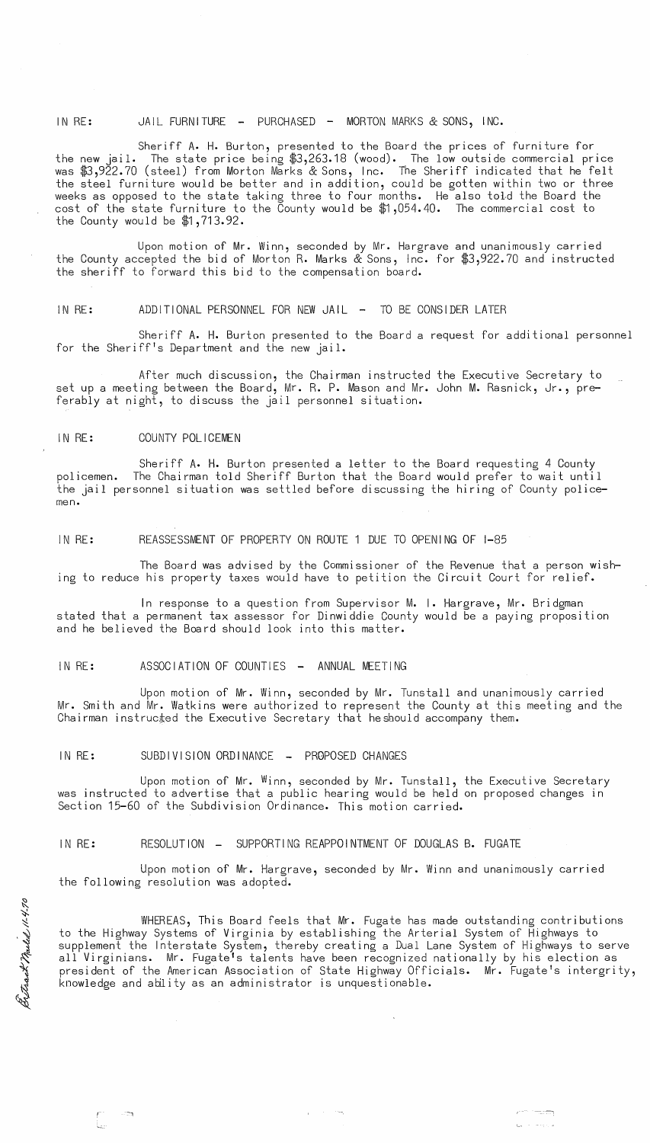IN RE: JAIL FURNITURE - PURCHASED - MORTON MARKS & SONS, INC.

Sheriff A. H. Burton, presented to the Board the prices of furniture for the new jail. The state price being \$3,263.18 (wood). The low outside commercial price was \$3,922.70 (steel) from Morton Marks & Sons, Inc. The Sheriff indicated that he felt the steel furniture would be better and in addition, could be gotten within two or three weeks as opposed to the state taking three to four months. He also told the Board the cost of the state furniture to the County would be \$1,054.40. The commercial cost to the County would be \$1,713.92.

Upon motion of Mr. Winn, seconded by Mr. Hargrave and unanimously carried the County accepted the bid of Morton R. Marks & Sons, Inc. for \$3,922.70 and instructed the sheriff to forward this bid to the compensation board.

IN RE: ADDITIONAL PERSONNEL FOR NEW JAIL - TO BE CONSIDER LATER

Sheriff A. H. Burton presented to the Board a request for additional personnel for the Sheriff's Department and the new jail.

After much discussion, the Chairman instructed the Executive Secretary to set up a meeting between the Board, Mr. R. P. Mason and Mr. John M. Rasnick, Jr., preferably at night, to discuss the jail personnel situation.

#### IN RE: COUNTY POLICEMEN

Sheriff A. H. Burton presented a letter to the Board requesting 4 County policemen. The Chairman told Sheriff Burton that the Board would prefer to wait until the jail personnel situation was settled before discussing the hiring of County policemen.

IN RE: REASSESSMENT OF PROPERTY ON ROUTE 1 DUE TO OPENING OF 1-85

The Board was advised by the Commissioner of the Revenue that a person wishing to reduce his property taxes would have to petition the Circuit Court for relief.

In response to a question from Supervisor M. I. Hargrave, Mr. Bridgman stated that a permanent tax assessor for Dinwiddie County would be a paying proposition and he believed the Board should look into this matter.

### IN RE: ASSOCIATION OF COUNTIES - ANNUAL MEETING

Upon motion of Mr. Winn, seconded by Mr. Tunstall and unanimously carried Mr. Smith and Mr. Watkins were authorized to represent the County at this meeting and the Chairman instructed the Executive Secretary that heshould accompany them.

IN RE: SUBDIVISION ORDINANCE - PROPOSED CHANGES

Upon motion of Mr. Winn, seconded by Mr. Tunstall, the Executive Secretary was instructed to advertise that a public hearing would be held on proposed changes in Section 15-60 of the Subdivision Ordinance. This motion carried.

IN RE: RESOLUTION - SUPPORTING REAPPOINTMENT OF DOUGLAS B. FUGATE

Upon motion of Mr. Hargrave, seconded by Mr. Winn and unanimously carried the following resolution was adopted.

WHEREAS, This Board feels that Mr. Fugate has made outstanding contributions to the Highway Systems of Virginia by establishing the Arterial System of Highways to supplement the Interstate System, thereby creating a Dual Lane System of Highways to serve all Virginians. Mr. Fugate's talents have been recognized nationally by his election as president of the American Association of State Highway Officials. Mr. Fugate's intergrity, knowledge and ability as an administrator is unquestionable.

 $4.4.7$  $\sim$ er Markey<br>1 Betrack?

 $\mathcal{L}^{\text{max}}$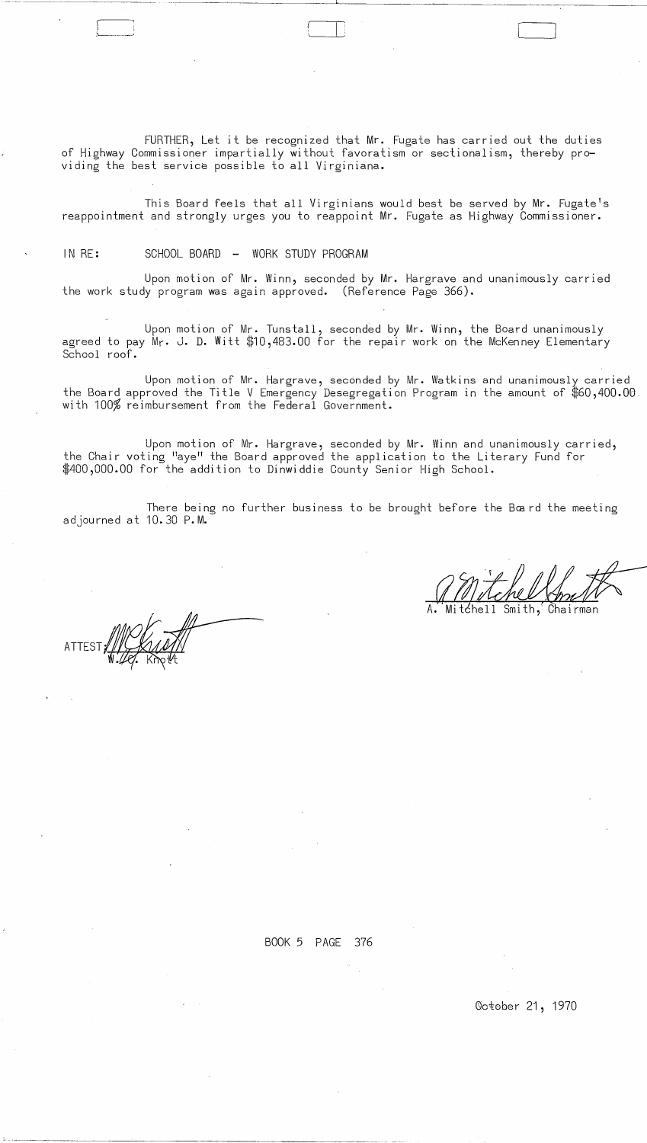FURTHER, Let it be recognized that Mr. Fugate has carried out the duties of Highway Commissioner impartially without favoratism or sectionalism, thereby providing the best service possible to all Virginiana.

This Board feels that all Virginians would best be served by Mr. Fugate's reappointment and strongly urges you to reappoint Mr. Fugate as Highway Commissioner.

## IN RE: SCHOOL BOARD - WORK STUDY PROGRAM

Upon motion of Mr. Winn, seconded by Mr. Hargrave and unanimously carried the work study program was again approved. (Reference Page 366).

Upon motion of Mr. Tunstall, seconded by Mr. Winn, the Board unanimously agreed to pay Mr. J. **D.** Witt \$10,483.00 for the repair work on the McKenney Elementary School roof.

Upon motion of Mr. Hargrave, seconded by Mr. Watkins and unanimously carried the Board approved the Title V Emergency Desegregation Program in the amount of  $\$60,400.00$ . with 100% reimbursement from the Federal Government.

Upon motion of Mr. Hargrave, seconded by Mr. Winn and unanimously carried, the Chair voting "aye" the Board approved the application to the Literary Fund for \$400,000.00 for the addition to Dinwiddie County Senior High School.

There being no further business to be brought before the Bœnd the meeting adjourned at 10.30 P. **M.** 

tćhell Smith. Chairman

ATTEST, WY

BOOK 5 PAGE 376

 $\sim$ 

Qotober 21, 1970